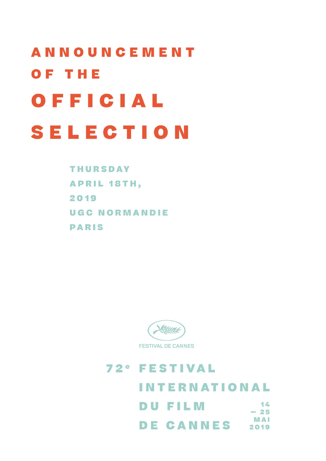## **ANNOUNCEMENT** OF THE OFFICIAL **SELECTION**

**THURSDAY APRIL 18TH,** 2019 **UGC NORMANDIE PARIS** 



## **72° FESTIVAL INTERNATIONAL DU FILM**  $14$  $-25$ **MAI DE CANNES** 2019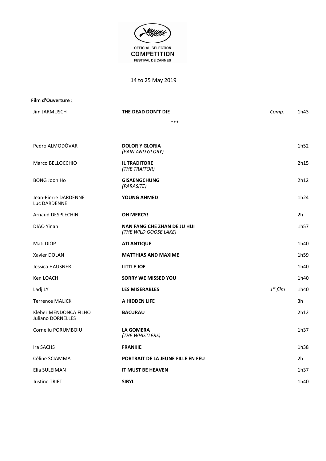

14 to 25 May 2019

| Film d'Ouverture :                         |                                                             |               |      |
|--------------------------------------------|-------------------------------------------------------------|---------------|------|
| Jim JARMUSCH                               | THE DEAD DON'T DIE                                          | Comp.         | 1h43 |
|                                            | ***                                                         |               |      |
|                                            |                                                             |               |      |
| Pedro ALMODÓVAR                            | <b>DOLOR Y GLORIA</b><br>(PAIN AND GLORY)                   |               | 1h52 |
| Marco BELLOCCHIO                           | <b>IL TRADITORE</b><br>(THE TRAITOR)                        |               | 2h15 |
| <b>BONG Joon Ho</b>                        | <b>GISAENGCHUNG</b><br>(PARASITE)                           |               | 2h12 |
| Jean-Pierre DARDENNE<br>Luc DARDENNE       | <b>YOUNG AHMED</b>                                          |               | 1h24 |
| Arnaud DESPLECHIN                          | <b>OH MERCY!</b>                                            |               | 2h   |
| DIAO Yinan                                 | <b>NAN FANG CHE ZHAN DE JU HUI</b><br>(THE WILD GOOSE LAKE) |               | 1h57 |
| Mati DIOP                                  | <b>ATLANTIQUE</b>                                           |               | 1h40 |
| Xavier DOLAN                               | <b>MATTHIAS AND MAXIME</b>                                  |               | 1h59 |
| Jessica HAUSNER                            | LITTLE JOE                                                  |               | 1h40 |
| Ken LOACH                                  | <b>SORRY WE MISSED YOU</b>                                  |               | 1h40 |
| Ladj LY                                    | <b>LES MISÉRABLES</b>                                       | $1^{st}$ film | 1h40 |
| <b>Terrence MALICK</b>                     | A HIDDEN LIFE                                               |               | 3h   |
| Kleber MENDONÇA FILHO<br>Juliano DORNELLES | <b>BACURAU</b>                                              |               | 2h12 |
| Corneliu PORUMBOIU                         | <b>LA GOMERA</b><br>(THE WHISTLERS)                         |               | 1h37 |
| Ira SACHS                                  | <b>FRANKIE</b>                                              |               | 1h38 |
| Céline SCIAMMA                             | PORTRAIT DE LA JEUNE FILLE EN FEU                           |               | 2h   |
| Elia SULEIMAN                              | IT MUST BE HEAVEN                                           |               | 1h37 |
| <b>Justine TRIET</b>                       | <b>SIBYL</b>                                                |               | 1h40 |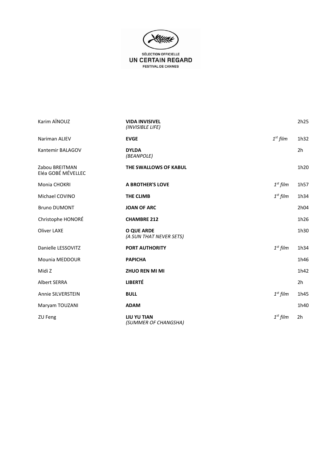

**FESTIVAL DE CANNES** 

| Karim AÏNOUZ                         | <b>VIDA INVISIVEL</b><br>(INVISIBLE LIFE)  |            | 2h25           |
|--------------------------------------|--------------------------------------------|------------|----------------|
| Nariman ALIEV                        | <b>EVGE</b>                                | $1st$ film | 1h32           |
| Kantemir BALAGOV                     | <b>DYLDA</b><br>(BEANPOLE)                 |            | 2 <sub>h</sub> |
| Zabou BREITMAN<br>Eléa GOBÉ MÉVELLEC | THE SWALLOWS OF KABUL                      |            | 1h20           |
| Monia CHOKRI                         | <b>A BROTHER'S LOVE</b>                    | $1st$ film | 1h57           |
| Michael COVINO                       | <b>THE CLIMB</b>                           | $1st$ film | 1h34           |
| <b>Bruno DUMONT</b>                  | <b>JOAN OF ARC</b>                         |            | 2h04           |
| Christophe HONORÉ                    | <b>CHAMBRE 212</b>                         |            | 1h26           |
| <b>Oliver LAXE</b>                   | O QUE ARDE<br>(A SUN THAT NEVER SETS)      |            | 1h30           |
| Danielle LESSOVITZ                   | <b>PORT AUTHORITY</b>                      | $1st$ film | 1h34           |
| Mounia MEDDOUR                       | <b>PAPICHA</b>                             |            | 1h46           |
| Midi Z                               | <b>ZHUO REN MI MI</b>                      |            | 1h42           |
| <b>Albert SERRA</b>                  | <b>LIBERTÉ</b>                             |            | 2 <sub>h</sub> |
| Annie SILVERSTEIN                    | <b>BULL</b>                                | $1st$ film | 1h45           |
| Maryam TOUZANI                       | <b>ADAM</b>                                |            | 1h40           |
| ZU Feng                              | <b>LIU YU TIAN</b><br>(SUMMER OF CHANGSHA) | $1st$ film | 2h             |